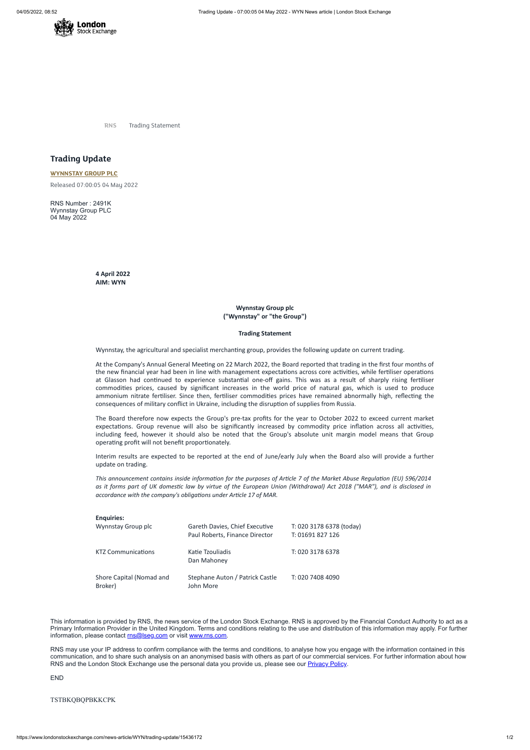

**RNS** Trading Statement

## **Trading Update**

**[WYNNSTAY](https://www.londonstockexchange.com/stock/WYN/wynnstay-group-plc) GROUP PLC** Released 07:00:05 04 May 2022

RNS Number : 2491K Wynnstay Group PLC 04 May 2022

> **4 April 2022 AIM: WYN**

> > **Wynnstay Group plc ("Wynnstay" or "the Group")**

> > > **Trading Statement**

Wynnstay, the agricultural and specialist merchanting group, provides the following update on current trading.

At the Company's Annual General Meeting on 22 March 2022, the Board reported that trading in the first four months of the new financial year had been in line with management expectations across core activities, while fertiliser operations at Glasson had continued to experience substantial one-off gains. This was as a result of sharply rising fertiliser commodities prices, caused by significant increases in the world price of natural gas, which is used to produce ammonium nitrate fertiliser. Since then, fertiliser commodities prices have remained abnormally high, reflecting the consequences of military conflict in Ukraine, including the disruption of supplies from Russia.

This information is provided by RNS, the news service of the London Stock Exchange. RNS is approved by the Financial Conduct Authority to act as a Primary Information Provider in the United Kingdom. Terms and conditions relating to the use and distribution of this information may apply. For further information, please contact [rns@lseg.com](mailto:rns@lseg.com) or visit [www.rns.com.](http://www.rns.com/)

RNS may use your IP address to confirm compliance with the terms and conditions, to analyse how you engage with the information contained in this communication, and to share such analysis on an anonymised basis with others as part of our commercial services. For further information about how RNS and the London Stock Exchange use the personal data you provide us, please see our **[Privacy](https://www.lseg.com/privacy-and-cookie-policy) Policy**.

The Board therefore now expects the Group's pre-tax profits for the year to October 2022 to exceed current market expectations. Group revenue will also be significantly increased by commodity price inflation across all activities, including feed, however it should also be noted that the Group's absolute unit margin model means that Group operating profit will not benefit proportionately.

Interim results are expected to be reported at the end of June/early July when the Board also will provide a further update on trading.

*This announcement contains inside information for the purposes of Article 7 of the Market Abuse Regulation (EU) 596/2014 as it forms part of UK domestic law by virtue of the European Union (Withdrawal) Act 2018 ("MAR"), and is disclosed in accordance with the company's obligations under Article 17 of MAR.*

| <b>Enquiries:</b>         |                                                                  |                                              |
|---------------------------|------------------------------------------------------------------|----------------------------------------------|
| Wynnstay Group plc        | Gareth Davies, Chief Executive<br>Paul Roberts, Finance Director | T: 020 3178 6378 (today)<br>T: 01691 827 126 |
| <b>KTZ Communications</b> | Katie Tzouliadis<br>Dan Mahoney                                  | T: 020 3178 6378                             |

Shore Capital (Nomad and Broker) Stephane Auton / Patrick Castle John More T: 020 7408 4090

END

TSTBKQBQPBKKCPK